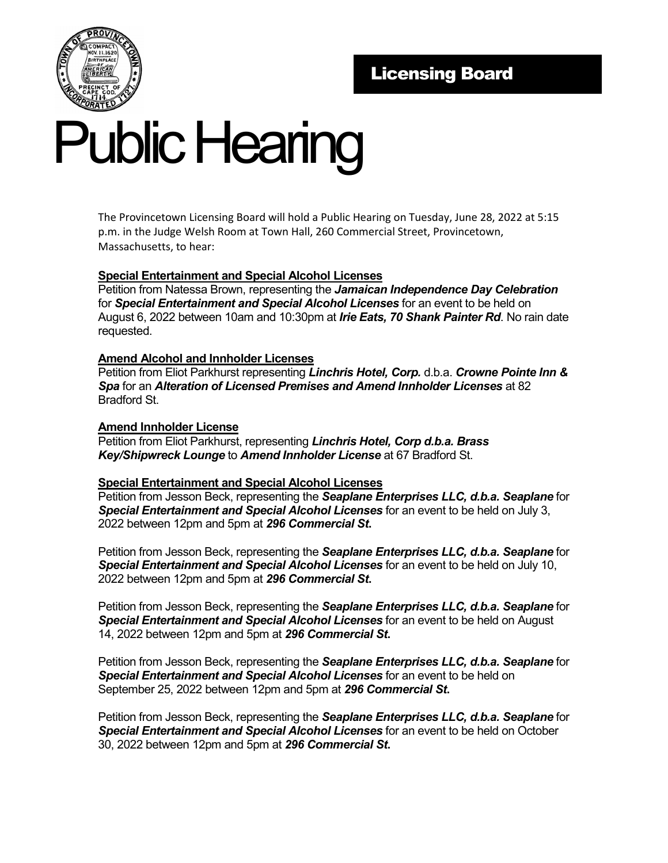

# Public Hearing

The Provincetown Licensing Board will hold a Public Hearing on Tuesday, June 28, 2022 at 5:15 p.m. in the Judge Welsh Room at Town Hall, 260 Commercial Street, Provincetown, Massachusetts, to hear:

# **Special Entertainment and Special Alcohol Licenses**

Petition from Natessa Brown, representing the *Jamaican Independence Day Celebration* for *Special Entertainment and Special Alcohol Licenses* for an event to be held on August 6, 2022 between 10am and 10:30pm at *Irie Eats, 70 Shank Painter Rd*. No rain date requested.

### **Amend Alcohol and Innholder Licenses**

Petition from Eliot Parkhurst representing *Linchris Hotel, Corp.* d.b.a. *Crowne Pointe Inn & Spa* for an *Alteration of Licensed Premises and Amend Innholder Licenses* at 82 Bradford St.

## **Amend Innholder License**

Petition from Eliot Parkhurst, representing *Linchris Hotel, Corp d.b.a. Brass Key/Shipwreck Lounge* to *Amend Innholder License* at 67 Bradford St.

#### **Special Entertainment and Special Alcohol Licenses**

Petition from Jesson Beck, representing the *Seaplane Enterprises LLC, d.b.a. Seaplane* for *Special Entertainment and Special Alcohol Licenses* for an event to be held on July 3, 2022 between 12pm and 5pm at *296 Commercial St***.**

Petition from Jesson Beck, representing the *Seaplane Enterprises LLC, d.b.a. Seaplane* for *Special Entertainment and Special Alcohol Licenses* for an event to be held on July 10, 2022 between 12pm and 5pm at *296 Commercial St***.**

Petition from Jesson Beck, representing the *Seaplane Enterprises LLC, d.b.a. Seaplane* for *Special Entertainment and Special Alcohol Licenses* for an event to be held on August 14, 2022 between 12pm and 5pm at *296 Commercial St***.**

Petition from Jesson Beck, representing the *Seaplane Enterprises LLC, d.b.a. Seaplane* for *Special Entertainment and Special Alcohol Licenses* for an event to be held on September 25, 2022 between 12pm and 5pm at *296 Commercial St***.**

Petition from Jesson Beck, representing the *Seaplane Enterprises LLC, d.b.a. Seaplane* for *Special Entertainment and Special Alcohol Licenses* for an event to be held on October 30, 2022 between 12pm and 5pm at *296 Commercial St***.**